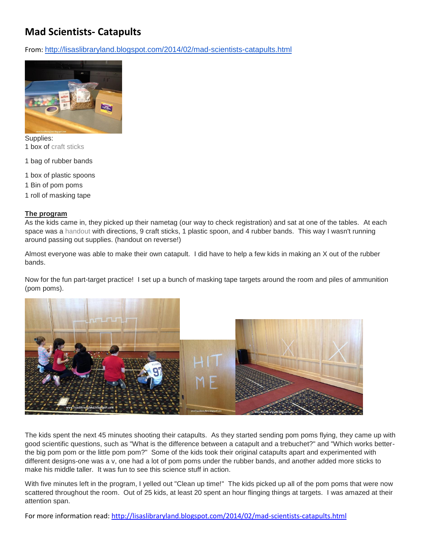## **Mad Scientists- Catapults**

From: <http://lisaslibraryland.blogspot.com/2014/02/mad-scientists-catapults.html>



Supplies: 1 box of [craft sticks](http://www.discountschoolsupply.com/Product/ProductDetail.aspx?product=325&keyword=craft%20sticks&scategoryid=0&CategorySearch=&Brand=&Price=)

- 1 bag of rubber bands
- 1 box of plastic spoons
- 1 Bin of pom poms
- 1 roll of masking tape

## **The program**

As the kids came in, they picked up their nametag (our way to check registration) and sat at one of the tables. At each space was a [handout](https://drive.google.com/file/d/0BzluC0gehTQQbzR0TlpfajNsYzQ/edit?usp=sharing) with directions, 9 craft sticks, 1 plastic spoon, and 4 rubber bands. This way I wasn't running around passing out supplies. (handout on reverse!)

Almost everyone was able to make their own catapult. I did have to help a few kids in making an X out of the rubber bands.

Now for the fun part-target practice! I set up a bunch of masking tape targets around the room and piles of ammunition (pom poms).



The kids spent the next 45 minutes shooting their catapults. As they started sending pom poms flying, they came up with good scientific questions, such as "What is the difference between a catapult and a trebuchet?" and "Which works betterthe big pom pom or the little pom pom?" Some of the kids took their original catapults apart and experimented with different designs-one was a v, one had a lot of pom poms under the rubber bands, and another added more sticks to make his middle taller. It was fun to see this science stuff in action.

With five minutes left in the program, I yelled out "Clean up time!" The kids picked up all of the pom poms that were now scattered throughout the room. Out of 25 kids, at least 20 spent an hour flinging things at targets. I was amazed at their attention span.

For more information read:<http://lisaslibraryland.blogspot.com/2014/02/mad-scientists-catapults.html>